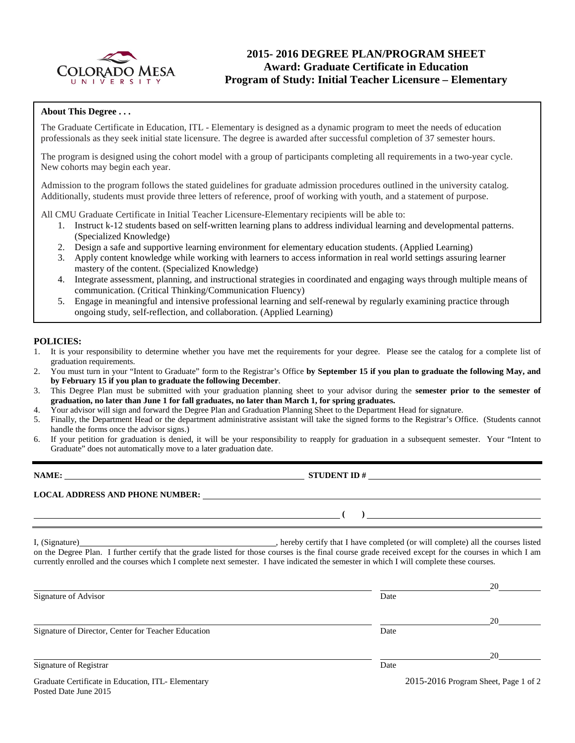

# **2015- 2016 DEGREE PLAN/PROGRAM SHEET Award: Graduate Certificate in Education Program of Study: Initial Teacher Licensure – Elementary**

### **About This Degree . . .**

The Graduate Certificate in Education, ITL - Elementary is designed as a dynamic program to meet the needs of education professionals as they seek initial state licensure. The degree is awarded after successful completion of 37 semester hours.

The program is designed using the cohort model with a group of participants completing all requirements in a two-year cycle. New cohorts may begin each year.

Admission to the program follows the stated guidelines for graduate admission procedures outlined in the university catalog. Additionally, students must provide three letters of reference, proof of working with youth, and a statement of purpose.

All CMU Graduate Certificate in Initial Teacher Licensure-Elementary recipients will be able to:

- 1. Instruct k-12 students based on self-written learning plans to address individual learning and developmental patterns. (Specialized Knowledge)
- 2. Design a safe and supportive learning environment for elementary education students. (Applied Learning)
- 3. Apply content knowledge while working with learners to access information in real world settings assuring learner mastery of the content. (Specialized Knowledge)
- 4. Integrate assessment, planning, and instructional strategies in coordinated and engaging ways through multiple means of communication. (Critical Thinking/Communication Fluency)
- 5. Engage in meaningful and intensive professional learning and self-renewal by regularly examining practice through ongoing study, self-reflection, and collaboration. (Applied Learning)

#### **POLICIES:**

- 1. It is your responsibility to determine whether you have met the requirements for your degree. Please see the catalog for a complete list of graduation requirements.
- 2. You must turn in your "Intent to Graduate" form to the Registrar's Office **by September 15 if you plan to graduate the following May, and by February 15 if you plan to graduate the following December**.
- 3. This Degree Plan must be submitted with your graduation planning sheet to your advisor during the **semester prior to the semester of graduation, no later than June 1 for fall graduates, no later than March 1, for spring graduates.**
- 4. Your advisor will sign and forward the Degree Plan and Graduation Planning Sheet to the Department Head for signature.
- 5. Finally, the Department Head or the department administrative assistant will take the signed forms to the Registrar's Office. (Students cannot handle the forms once the advisor signs.)
- 6. If your petition for graduation is denied, it will be your responsibility to reapply for graduation in a subsequent semester. Your "Intent to Graduate" does not automatically move to a later graduation date.

| NAME:                                  | <b>STUDENT ID#</b> |  |
|----------------------------------------|--------------------|--|
| <b>LOCAL ADDRESS AND PHONE NUMBER:</b> |                    |  |
|                                        |                    |  |

I, (Signature) , hereby certify that I have completed (or will complete) all the courses listed on the Degree Plan. I further certify that the grade listed for those courses is the final course grade received except for the courses in which I am currently enrolled and the courses which I complete next semester. I have indicated the semester in which I will complete these courses.

|                                                                             |      | 20                                   |
|-----------------------------------------------------------------------------|------|--------------------------------------|
| Signature of Advisor                                                        | Date |                                      |
|                                                                             |      | 20                                   |
| Signature of Director, Center for Teacher Education                         | Date |                                      |
|                                                                             |      | 20                                   |
| Signature of Registrar                                                      | Date |                                      |
| Graduate Certificate in Education, ITL- Elementary<br>Posted Date June 2015 |      | 2015-2016 Program Sheet, Page 1 of 2 |